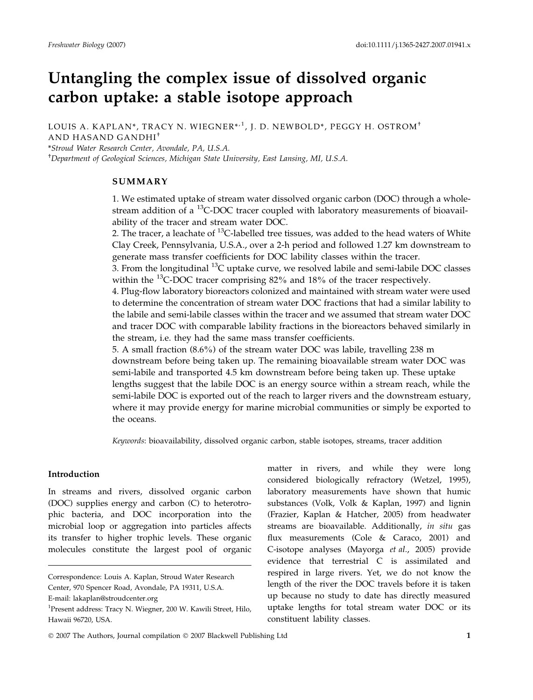# Untangling the complex issue of dissolved organic carbon uptake: a stable isotope approach

LOUIS A. KAPLAN\*, TRACY N. WIEGNER\*<sup>,1</sup>, J. D. NEWBOLD\*, PEGGY H. OSTROM<sup>+</sup> AND HASAND GANDHI †

\*Stroud Water Research Center, Avondale, PA, U.S.A.

† Department of Geological Sciences, Michigan State University, East Lansing, MI, U.S.A.

## SUMMARY

1. We estimated uptake of stream water dissolved organic carbon (DOC) through a wholestream addition of a <sup>13</sup>C-DOC tracer coupled with laboratory measurements of bioavailability of the tracer and stream water DOC.

2. The tracer, a leachate of  $^{13}$ C-labelled tree tissues, was added to the head waters of White Clay Creek, Pennsylvania, U.S.A., over a 2-h period and followed 1.27 km downstream to generate mass transfer coefficients for DOC lability classes within the tracer.

3. From the longitudinal  $^{13}C$  uptake curve, we resolved labile and semi-labile DOC classes within the <sup>13</sup>C-DOC tracer comprising  $82\%$  and  $18\%$  of the tracer respectively.

4. Plug-flow laboratory bioreactors colonized and maintained with stream water were used to determine the concentration of stream water DOC fractions that had a similar lability to the labile and semi-labile classes within the tracer and we assumed that stream water DOC and tracer DOC with comparable lability fractions in the bioreactors behaved similarly in the stream, i.e. they had the same mass transfer coefficients.

5. A small fraction (8.6%) of the stream water DOC was labile, travelling 238 m downstream before being taken up. The remaining bioavailable stream water DOC was semi-labile and transported 4.5 km downstream before being taken up. These uptake lengths suggest that the labile DOC is an energy source within a stream reach, while the semi-labile DOC is exported out of the reach to larger rivers and the downstream estuary, where it may provide energy for marine microbial communities or simply be exported to the oceans.

Keywords: bioavailability, dissolved organic carbon, stable isotopes, streams, tracer addition

### Introduction

In streams and rivers, dissolved organic carbon (DOC) supplies energy and carbon (C) to heterotrophic bacteria, and DOC incorporation into the microbial loop or aggregation into particles affects its transfer to higher trophic levels. These organic molecules constitute the largest pool of organic matter in rivers, and while they were long considered biologically refractory (Wetzel, 1995), laboratory measurements have shown that humic substances (Volk, Volk & Kaplan, 1997) and lignin (Frazier, Kaplan & Hatcher, 2005) from headwater streams are bioavailable. Additionally, in situ gas flux measurements (Cole & Caraco, 2001) and C-isotope analyses (Mayorga et al., 2005) provide evidence that terrestrial C is assimilated and respired in large rivers. Yet, we do not know the length of the river the DOC travels before it is taken up because no study to date has directly measured uptake lengths for total stream water DOC or its constituent lability classes.

Correspondence: Louis A. Kaplan, Stroud Water Research

Center, 970 Spencer Road, Avondale, PA 19311, U.S.A.

E-mail: lakaplan@stroudcenter.org

<sup>&</sup>lt;sup>1</sup>Present address: Tracy N. Wiegner, 200 W. Kawili Street, Hilo, Hawaii 96720, USA.

 $\textcircled{\textsc{i}}$  2007 The Authors, Journal compilation  $\textcircled{\textsc{i}}$  2007 Blackwell Publishing Ltd  $1$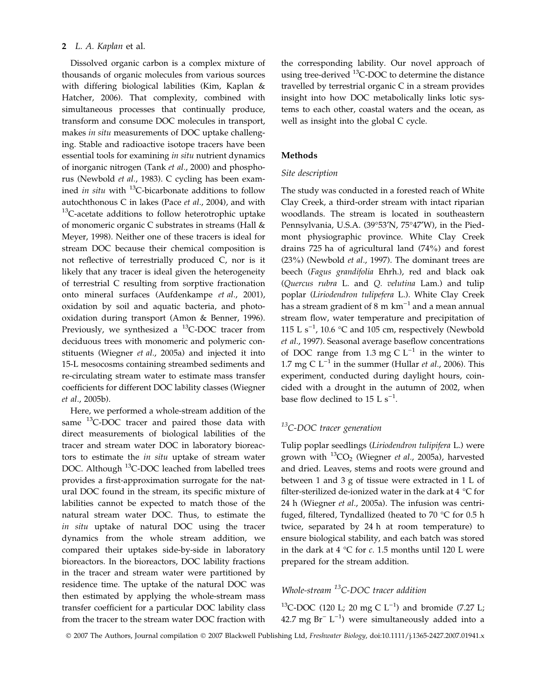Dissolved organic carbon is a complex mixture of thousands of organic molecules from various sources with differing biological labilities (Kim, Kaplan & Hatcher, 2006). That complexity, combined with simultaneous processes that continually produce, transform and consume DOC molecules in transport, makes in situ measurements of DOC uptake challenging. Stable and radioactive isotope tracers have been essential tools for examining in situ nutrient dynamics of inorganic nitrogen (Tank et al., 2000) and phosphorus (Newbold et al., 1983). C cycling has been examined *in situ* with  $^{13}$ C-bicarbonate additions to follow autochthonous C in lakes (Pace et al., 2004), and with <sup>13</sup>C-acetate additions to follow heterotrophic uptake of monomeric organic C substrates in streams (Hall & Meyer, 1998). Neither one of these tracers is ideal for stream DOC because their chemical composition is not reflective of terrestrially produced C, nor is it likely that any tracer is ideal given the heterogeneity of terrestrial C resulting from sorptive fractionation onto mineral surfaces (Aufdenkampe et al., 2001), oxidation by soil and aquatic bacteria, and photooxidation during transport (Amon & Benner, 1996). Previously, we synthesized a  $^{13}$ C-DOC tracer from deciduous trees with monomeric and polymeric constituents (Wiegner et al., 2005a) and injected it into 15-L mesocosms containing streambed sediments and re-circulating stream water to estimate mass transfer coefficients for different DOC lability classes (Wiegner et al., 2005b).

Here, we performed a whole-stream addition of the same  $^{13}$ C-DOC tracer and paired those data with direct measurements of biological labilities of the tracer and stream water DOC in laboratory bioreactors to estimate the in situ uptake of stream water DOC. Although <sup>13</sup>C-DOC leached from labelled trees provides a first-approximation surrogate for the natural DOC found in the stream, its specific mixture of labilities cannot be expected to match those of the natural stream water DOC. Thus, to estimate the in situ uptake of natural DOC using the tracer dynamics from the whole stream addition, we compared their uptakes side-by-side in laboratory bioreactors. In the bioreactors, DOC lability fractions in the tracer and stream water were partitioned by residence time. The uptake of the natural DOC was then estimated by applying the whole-stream mass transfer coefficient for a particular DOC lability class from the tracer to the stream water DOC fraction with the corresponding lability. Our novel approach of using tree-derived <sup>13</sup>C-DOC to determine the distance travelled by terrestrial organic C in a stream provides insight into how DOC metabolically links lotic systems to each other, coastal waters and the ocean, as well as insight into the global C cycle.

## Methods

#### Site description

The study was conducted in a forested reach of White Clay Creek, a third-order stream with intact riparian woodlands. The stream is located in southeastern Pennsylvania, U.S.A. (39°53'N, 75°47'W), in the Piedmont physiographic province. White Clay Creek drains 725 ha of agricultural land (74%) and forest (23%) (Newbold et al., 1997). The dominant trees are beech (Fagus grandifolia Ehrh.), red and black oak (Quercus rubra L. and Q. velutina Lam.) and tulip poplar (Liriodendron tulipefera L.). White Clay Creek has a stream gradient of 8 m  $km^{-1}$  and a mean annual stream flow, water temperature and precipitation of 115 L  $s^{-1}$ , 10.6 °C and 105 cm, respectively (Newbold et al., 1997). Seasonal average baseflow concentrations of DOC range from 1.3 mg C  $L^{-1}$  in the winter to 1.7 mg C  $L^{-1}$  in the summer (Hullar *et al.*, 2006). This experiment, conducted during daylight hours, coincided with a drought in the autumn of 2002, when base flow declined to  $15 \text{ L s}^{-1}$ .

## $13$ C-DOC tracer generation

Tulip poplar seedlings (Liriodendron tulipifera L.) were grown with  ${}^{13}CO_2$  (Wiegner et al., 2005a), harvested and dried. Leaves, stems and roots were ground and between 1 and 3 g of tissue were extracted in 1 L of filter-sterilized de-ionized water in the dark at  $4 °C$  for 24 h (Wiegner et al., 2005a). The infusion was centrifuged, filtered, Tyndallized (heated to  $70^{\circ}$ C for 0.5 h twice, separated by 24 h at room temperature) to ensure biological stability, and each batch was stored in the dark at 4  $\degree$ C for *c*. 1.5 months until 120 L were prepared for the stream addition.

# Whole-stream <sup>13</sup>C-DOC tracer addition

<sup>13</sup>C-DOC (120 L; 20 mg C L<sup>-1</sup>) and bromide (7.27 L; 42.7 mg  $Br^{-} L^{-1}$ ) were simultaneously added into a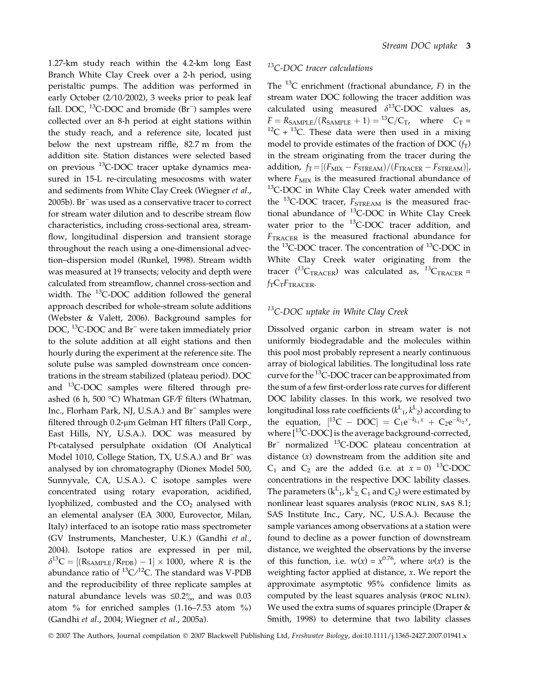1.27-km study reach within the 4.2-km long East Branch White Clay Creek over a 2-h period, using peristaltic pumps. The addition was performed in early October (2/10/2002), 3 weeks prior to peak leaf fall. DOC, <sup>13</sup>C-DOC and bromide (Br<sup>-</sup>) samples were collected over an 8-h period at eight stations within the study reach, and a reference site, located just below the next upstream riffle, 82.7 m from the addition site. Station distances were selected based on previous 13C-DOC tracer uptake dynamics measured in 15-L re-circulating mesocosms with water and sediments from White Clay Creek (Wiegner et al., 2005b).  $Br^-$  was used as a conservative tracer to correct for stream water dilution and to describe stream flow characteristics, including cross-sectional area, streamflow, longitudinal dispersion and transient storage throughout the reach using a one-dimensional advection–dispersion model (Runkel, 1998). Stream width was measured at 19 transects; velocity and depth were calculated from streamflow, channel cross-section and width. The  $^{13}$ C-DOC addition followed the general approach described for whole-stream solute additions (Webster & Valett, 2006). Background samples for DOC,  ${}^{13}$ C-DOC and Br<sup>-</sup> were taken immediately prior to the solute addition at all eight stations and then hourly during the experiment at the reference site. The solute pulse was sampled downstream once concentrations in the stream stabilized (plateau period). DOC and <sup>13</sup>C-DOC samples were filtered through preashed (6 h, 500 °C) Whatman GF/F filters (Whatman, Inc., Florham Park, NJ, U.S.A.) and  $Br^-$  samples were filtered through 0.2-µm Gelman HT filters (Pall Corp., East Hills, NY, U.S.A.). DOC was measured by Pt-catalysed persulphate oxidation (OI Analytical Model 1010, College Station, TX, U.S.A.) and Br<sup>-</sup> was analysed by ion chromatography (Dionex Model 500, Sunnyvale, CA, U.S.A.). C isotope samples were concentrated using rotary evaporation, acidified, lyophilized, combusted and the  $CO<sub>2</sub>$  analysed with an elemental analyser (EA 3000, Eurovector, Milan, Italy) interfaced to an isotope ratio mass spectrometer (GV Instruments, Manchester, U.K.) (Gandhi et al., 2004). Isotope ratios are expressed in per mil,  $\delta^{13}C = [(R_{SAMPLE}/R_{PDB}) - 1] \times 1000$ , where R is the abundance ratio of  $^{13}$ C $/^{12}$ C. The standard was V-PDB and the reproducibility of three replicate samples at natural abundance levels was  $\leq 0.2\%$  and was 0.03 atom  $\%$  for enriched samples (1.16–7.53 atom  $\%$ ) (Gandhi et al., 2004; Wiegner et al., 2005a).

## 13C-DOC tracer calculations

The  $^{13}$ C enrichment (fractional abundance, F) in the stream water DOC following the tracer addition was calculated using measured  $\delta^{13}$ C-DOC values as,  $F = R_{\text{SAMPLE}}/(R_{\text{SAMPLE}} + 1) = {}^{13}C/C_T$ , where  $C_T =$  $^{12}C + ^{13}C$ . These data were then used in a mixing model to provide estimates of the fraction of DOC  $(f_T)$ in the stream originating from the tracer during the addition,  $f_{\rm T} = [(F_{\rm MIX} - F_{\rm STREAM})/(F_{\rm TRACER} - F_{\rm STREAM})]$ , where  $F_{\text{MIX}}$  is the measured fractional abundance of  $13C-DOC$  in White Clay Creek water amended with the <sup>13</sup>C-DOC tracer,  $F_{\text{STREAM}}$  is the measured fractional abundance of  $^{13}$ C-DOC in White Clay Creek water prior to the <sup>13</sup>C-DOC tracer addition, and  $F_{\text{TRACER}}$  is the measured fractional abundance for the  $^{13}$ C-DOC tracer. The concentration of  $^{13}$ C-DOC in White Clay Creek water originating from the tracer (<sup>13</sup>C<sub>TRACER</sub>) was calculated as, <sup>13</sup>C<sub>TRACER</sub> =  $f_T C_T F_{TRACER}$ 

## $13C-DOC$  uptake in White Clay Creek

Dissolved organic carbon in stream water is not uniformly biodegradable and the molecules within this pool most probably represent a nearly continuous array of biological labilities. The longitudinal loss rate curve for the  $^{13}$ C-DOC tracer can be approximated from the sum of a few first-order loss rate curves for different DOC lability classes. In this work, we resolved two longitudinal loss rate coefficients ( $k^{\rm L}{}_{1}$ ,  $k^{\rm L}{}_{2}$ ) according to the equation,  $[{}^{13}C - DOC] = C_1 e^{-k_{L_1}x} + C_2 e^{-k_{L_2}x}$ , where  $[^{13}C\text{-}DOC]$  is the average background-corrected,  $Br^-$  normalized  $^{13}$ C-DOC plateau concentration at distance  $(x)$  downstream from the addition site and  $C_1$  and  $C_2$  are the added (i.e. at  $x = 0$ ) <sup>13</sup>C-DOC concentrations in the respective DOC lability classes. The parameters ( $k_{1}^{L}$ ,  $k_{2}^{L}$ ,  $C_{1}$  and  $C_{2}$ ) were estimated by nonlinear least squares analysis (PROC NLIN, SAS 8.1; SAS Institute Inc., Cary, NC, U.S.A.). Because the sample variances among observations at a station were found to decline as a power function of downstream distance, we weighted the observations by the inverse of this function, i.e.  $w(x) = x^{0.76}$ , where  $w(x)$  is the weighting factor applied at distance,  $x$ . We report the approximate asymptotic 95% confidence limits as computed by the least squares analysis (PROC NLIN). We used the extra sums of squares principle (Draper & Smith, 1998) to determine that two lability classes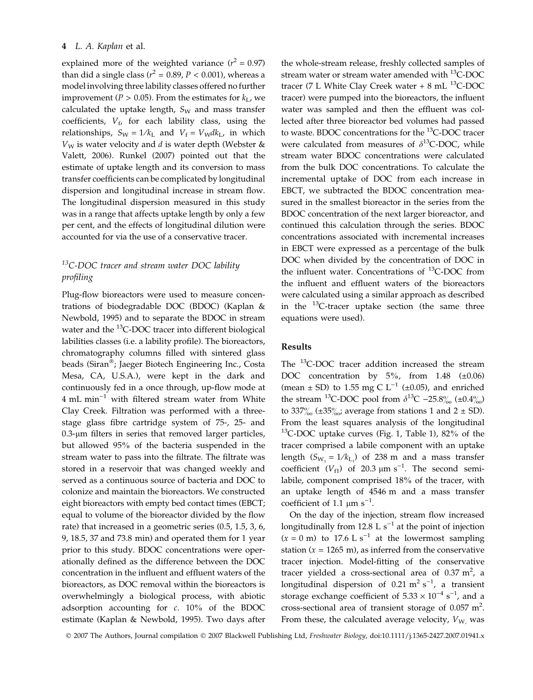explained more of the weighted variance ( $r^2 = 0.97$ ) than did a single class ( $r^2 = 0.89$ ,  $P < 0.001$ ), whereas a model involving three lability classes offered no further improvement ( $P > 0.05$ ). From the estimates for  $k_L$ , we calculated the uptake length,  $S_W$  and mass transfer coefficients,  $V_f$ , for each lability class, using the relationships,  $S_W = 1/k_L$  and  $V_f = V_W dk_L$ , in which  $V_W$  is water velocity and d is water depth (Webster & Valett, 2006). Runkel (2007) pointed out that the estimate of uptake length and its conversion to mass transfer coefficients can be complicated by longitudinal dispersion and longitudinal increase in stream flow. The longitudinal dispersion measured in this study was in a range that affects uptake length by only a few per cent, and the effects of longitudinal dilution were accounted for via the use of a conservative tracer.

# $13$ C-DOC tracer and stream water DOC lability profiling

Plug-flow bioreactors were used to measure concentrations of biodegradable DOC (BDOC) (Kaplan & Newbold, 1995) and to separate the BDOC in stream water and the  $^{13}$ C-DOC tracer into different biological labilities classes (i.e. a lability profile). The bioreactors, chromatography columns filled with sintered glass beads (Siran®; Jaeger Biotech Engineering Inc., Costa Mesa, CA, U.S.A.), were kept in the dark and continuously fed in a once through, up-flow mode at  $4 \text{ mL min}^{-1}$  with filtered stream water from White Clay Creek. Filtration was performed with a threestage glass fibre cartridge system of 75-, 25- and  $0.3$ - $\mu$ m filters in series that removed larger particles, but allowed 95% of the bacteria suspended in the stream water to pass into the filtrate. The filtrate was stored in a reservoir that was changed weekly and served as a continuous source of bacteria and DOC to colonize and maintain the bioreactors. We constructed eight bioreactors with empty bed contact times (EBCT; equal to volume of the bioreactor divided by the flow rate) that increased in a geometric series (0.5, 1.5, 3, 6, 9, 18.5, 37 and 73.8 min) and operated them for 1 year prior to this study. BDOC concentrations were operationally defined as the difference between the DOC concentration in the influent and effluent waters of the bioreactors, as DOC removal within the bioreactors is overwhelmingly a biological process, with abiotic adsorption accounting for c. 10% of the BDOC estimate (Kaplan & Newbold, 1995). Two days after the whole-stream release, freshly collected samples of stream water or stream water amended with 13C-DOC tracer (7 L White Clay Creek water  $+ 8$  mL  $^{13}$ C-DOC tracer) were pumped into the bioreactors, the influent water was sampled and then the effluent was collected after three bioreactor bed volumes had passed to waste. BDOC concentrations for the <sup>13</sup>C-DOC tracer were calculated from measures of  $\delta^{13}$ C-DOC, while stream water BDOC concentrations were calculated from the bulk DOC concentrations. To calculate the incremental uptake of DOC from each increase in EBCT, we subtracted the BDOC concentration measured in the smallest bioreactor in the series from the BDOC concentration of the next larger bioreactor, and continued this calculation through the series. BDOC concentrations associated with incremental increases in EBCT were expressed as a percentage of the bulk DOC when divided by the concentration of DOC in the influent water. Concentrations of  ${}^{13}$ C-DOC from the influent and effluent waters of the bioreactors were calculated using a similar approach as described in the  $^{13}$ C-tracer uptake section (the same three equations were used).

## Results

The <sup>13</sup>C-DOC tracer addition increased the stream DOC concentration by 5%, from 1.48 (±0.06) (mean  $\pm$  SD) to 1.55 mg C L<sup>-1</sup> ( $\pm$ 0.05), and enriched the stream <sup>13</sup>C-DOC pool from  $\delta^{13}$ C -25.8<sup>o</sup><sub>(a)</sub> (±0.4<sup>o</sup><sub>(a)</sub>) to 337 $\frac{\%}{\%}$  (±35 $\frac{\%}{\%}$ ; average from stations 1 and 2 ± SD). From the least squares analysis of the longitudinal  $13^{\circ}$ C-DOC uptake curves (Fig. 1, Table 1), 82% of the tracer comprised a labile component with an uptake length  $(S_{W_1} = 1/k_{L_1})$  of 238 m and a mass transfer coefficient  $(V_{f1})$  of 20.3  $\mu$ m s<sup>-1</sup>. The second semilabile, component comprised 18% of the tracer, with an uptake length of 4546 m and a mass transfer coefficient of 1.1  $\mu$ m s<sup>-1</sup>.

On the day of the injection, stream flow increased longitudinally from 12.8 L  $s^{-1}$  at the point of injection  $(x = 0 \text{ m})$  to 17.6 L s<sup>-1</sup> at the lowermost sampling station ( $x = 1265$  m), as inferred from the conservative tracer injection. Model-fitting of the conservative tracer yielded a cross-sectional area of  $0.37 \text{ m}^2$ , a longitudinal dispersion of  $0.21 \text{ m}^2 \text{ s}^{-1}$ , a transient storage exchange coefficient of  $5.33 \times 10^{-4}$  s<sup>-1</sup>, and a cross-sectional area of transient storage of  $0.057$  m<sup>2</sup>. From these, the calculated average velocity,  $V_{\text{W}}$  was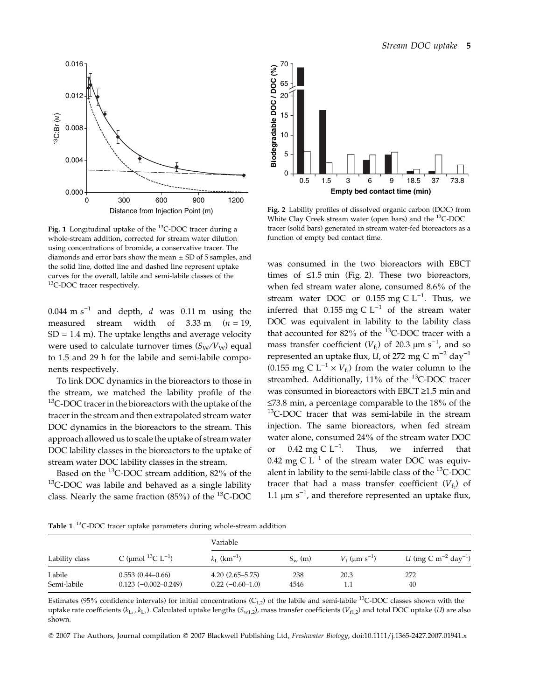

Fig. 1 Longitudinal uptake of the <sup>13</sup>C-DOC tracer during a whole-stream addition, corrected for stream water dilution using concentrations of bromide, a conservative tracer. The diamonds and error bars show the mean  $\pm$  SD of 5 samples, and the solid line, dotted line and dashed line represent uptake curves for the overall, labile and semi-labile classes of the 13C-DOC tracer respectively.

0.044 m s<sup>-1</sup> and depth, d was 0.11 m using the measured stream width of  $3.33 \text{ m}$  ( $n = 19$ ,  $SD = 1.4$  m). The uptake lengths and average velocity were used to calculate turnover times  $(S_W/V_W)$  equal to 1.5 and 29 h for the labile and semi-labile components respectively.

To link DOC dynamics in the bioreactors to those in the stream, we matched the lability profile of the <sup>13</sup>C-DOC tracer in the bioreactors with the uptake of the tracer in the stream and then extrapolated stream water DOC dynamics in the bioreactors to the stream. This approach allowed us to scale the uptake of stream water DOC lability classes in the bioreactors to the uptake of stream water DOC lability classes in the stream.

Based on the 13C-DOC stream addition, 82% of the  $13$ C-DOC was labile and behaved as a single lability class. Nearly the same fraction  $(85%)$  of the <sup>13</sup>C-DOC



Fig. 2 Lability profiles of dissolved organic carbon (DOC) from White Clay Creek stream water (open bars) and the 13C-DOC tracer (solid bars) generated in stream water-fed bioreactors as a function of empty bed contact time.

was consumed in the two bioreactors with EBCT times of  $\leq 1.5$  min (Fig. 2). These two bioreactors, when fed stream water alone, consumed 8.6% of the stream water DOC or  $0.155$  mg C L<sup>-1</sup>. Thus, we inferred that  $0.155$  mg C  $L^{-1}$  of the stream water DOC was equivalent in lability to the lability class that accounted for  $82\%$  of the  $^{13}$ C-DOC tracer with a mass transfer coefficient  $(V_{f_1})$  of 20.3  $\mu$ m s<sup>-1</sup>, and so represented an uptake flux,  $U$ , of 272 mg C m<sup>-2</sup> day<sup>-1</sup> (0.155 mg C  $L^{-1} \times V_{f_1}$ ) from the water column to the streambed. Additionally, 11% of the 13C-DOC tracer was consumed in bioreactors with EBCT  $\geq$ 1.5 min and  $\leq$ 73.8 min, a percentage comparable to the 18% of the <sup>13</sup>C-DOC tracer that was semi-labile in the stream injection. The same bioreactors, when fed stream water alone, consumed 24% of the stream water DOC or 0.42 mg C  $L^{-1}$ . . Thus, we inferred that 0.42 mg C  $L^{-1}$  of the stream water DOC was equivalent in lability to the semi-labile class of the  $^{13}$ C-DOC tracer that had a mass transfer coefficient  $(V_{f_2})$  of 1.1  $\mu$ m s<sup>-1</sup>, and therefore represented an uptake flux,

|  |  |  |  |  |  | Table 1 <sup>13</sup> C-DOC tracer uptake parameters during whole-stream addition |  |
|--|--|--|--|--|--|-----------------------------------------------------------------------------------|--|
|--|--|--|--|--|--|-----------------------------------------------------------------------------------|--|

|                       |                                               | Variable                                 |                 |                             |                                             |  |  |
|-----------------------|-----------------------------------------------|------------------------------------------|-----------------|-----------------------------|---------------------------------------------|--|--|
| Lability class        | C (µmol <sup>13</sup> C L <sup>-1</sup> )     | $k_{\rm L}$ (km <sup>-1</sup> )          | $S_{\rm w}$ (m) | $V_f$ (µm s <sup>-1</sup> ) | U (mg C m <sup>-2</sup> day <sup>-1</sup> ) |  |  |
| Labile<br>Semi-labile | $0.553(0.44 - 0.66)$<br>$0.123(-0.002-0.249)$ | $4.20(2.65 - 5.75)$<br>$0.22(-0.60-1.0)$ | 238<br>4546     | 20.3                        | 272<br>40                                   |  |  |
|                       |                                               |                                          |                 |                             |                                             |  |  |

Estimates (95% confidence intervals) for initial concentrations  $(C_{1,2})$  of the labile and semi-labile <sup>13</sup>C-DOC classes shown with the uptake rate coefficients ( $k_{L1}$ ,  $k_{L2}$ ). Calculated uptake lengths ( $S_{w1,2}$ ), mass transfer coefficients ( $V_{f1,2}$ ) and total DOC uptake (U) are also shown.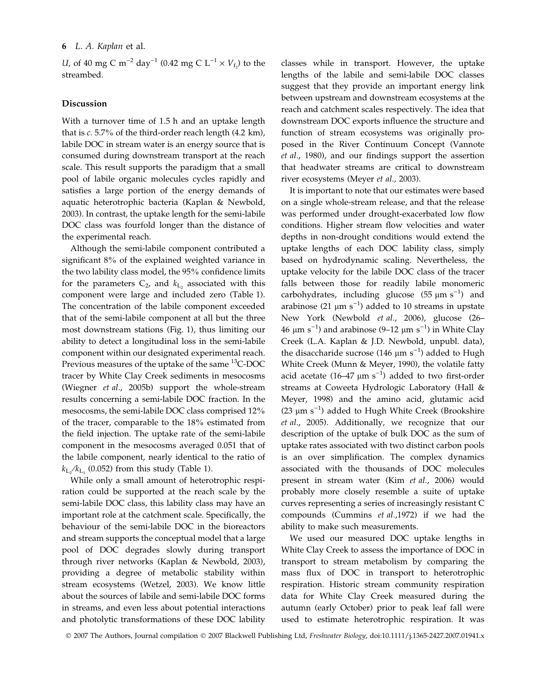*U*, of 40 mg C m<sup>-2</sup> day<sup>-1</sup> (0.42 mg C  $L^{-1} \times V_{f_2}$ ) to the streambed.

## Discussion

With a turnover time of 1.5 h and an uptake length that is c. 5.7% of the third-order reach length (4.2 km), labile DOC in stream water is an energy source that is consumed during downstream transport at the reach scale. This result supports the paradigm that a small pool of labile organic molecules cycles rapidly and satisfies a large portion of the energy demands of aquatic heterotrophic bacteria (Kaplan & Newbold, 2003). In contrast, the uptake length for the semi-labile DOC class was fourfold longer than the distance of the experimental reach.

Although the semi-labile component contributed a significant 8% of the explained weighted variance in the two lability class model, the 95% confidence limits for the parameters  $C_2$ , and  $k_L$ , associated with this component were large and included zero (Table 1). The concentration of the labile component exceeded that of the semi-labile component at all but the three most downstream stations (Fig. 1), thus limiting our ability to detect a longitudinal loss in the semi-labile component within our designated experimental reach. Previous measures of the uptake of the same <sup>13</sup>C-DOC tracer by White Clay Creek sediments in mesocosms (Wiegner et al., 2005b) support the whole-stream results concerning a semi-labile DOC fraction. In the mesocosms, the semi-labile DOC class comprised 12% of the tracer, comparable to the 18% estimated from the field injection. The uptake rate of the semi-labile component in the mesocosms averaged 0.051 that of the labile component, nearly identical to the ratio of  $k_{\text{L}}/k_{\text{L}}$  (0.052) from this study (Table 1).

While only a small amount of heterotrophic respiration could be supported at the reach scale by the semi-labile DOC class, this lability class may have an important role at the catchment scale. Specifically, the behaviour of the semi-labile DOC in the bioreactors and stream supports the conceptual model that a large pool of DOC degrades slowly during transport through river networks (Kaplan & Newbold, 2003), providing a degree of metabolic stability within stream ecosystems (Wetzel, 2003). We know little about the sources of labile and semi-labile DOC forms in streams, and even less about potential interactions and photolytic transformations of these DOC lability classes while in transport. However, the uptake lengths of the labile and semi-labile DOC classes suggest that they provide an important energy link between upstream and downstream ecosystems at the reach and catchment scales respectively. The idea that downstream DOC exports influence the structure and function of stream ecosystems was originally proposed in the River Continuum Concept (Vannote et al., 1980), and our findings support the assertion that headwater streams are critical to downstream river ecosystems (Meyer et al., 2003).

It is important to note that our estimates were based on a single whole-stream release, and that the release was performed under drought-exacerbated low flow conditions. Higher stream flow velocities and water depths in non-drought conditions would extend the uptake lengths of each DOC lability class, simply based on hydrodynamic scaling. Nevertheless, the uptake velocity for the labile DOC class of the tracer falls between those for readily labile monomeric carbohydrates, including glucose  $(55 \mu m s^{-1})$  and arabinose (21  $\mu$ m s<sup>-1</sup>) added to 10 streams in upstate New York (Newbold et al., 2006), glucose (26– 46 μm s<sup>-1</sup>) and arabinose (9–12 μm s<sup>-1</sup>) in White Clay Creek (L.A. Kaplan & J.D. Newbold, unpubl. data), the disaccharide sucrose (146  $\mu$ m s<sup>-1</sup>) added to Hugh White Creek (Munn & Meyer, 1990), the volatile fatty acid acetate  $(16-47 \mu m s^{-1})$  added to two first-order streams at Coweeta Hydrologic Laboratory (Hall & Meyer, 1998) and the amino acid, glutamic acid (23  $\mu$ m s<sup>-1</sup>) added to Hugh White Creek (Brookshire et al., 2005). Additionally, we recognize that our description of the uptake of bulk DOC as the sum of uptake rates associated with two distinct carbon pools is an over simplification. The complex dynamics associated with the thousands of DOC molecules present in stream water (Kim et al., 2006) would probably more closely resemble a suite of uptake curves representing a series of increasingly resistant C compounds (Cummins et al.,1972) if we had the ability to make such measurements.

We used our measured DOC uptake lengths in White Clay Creek to assess the importance of DOC in transport to stream metabolism by comparing the mass flux of DOC in transport to heterotrophic respiration. Historic stream community respiration data for White Clay Creek measured during the autumn (early October) prior to peak leaf fall were used to estimate heterotrophic respiration. It was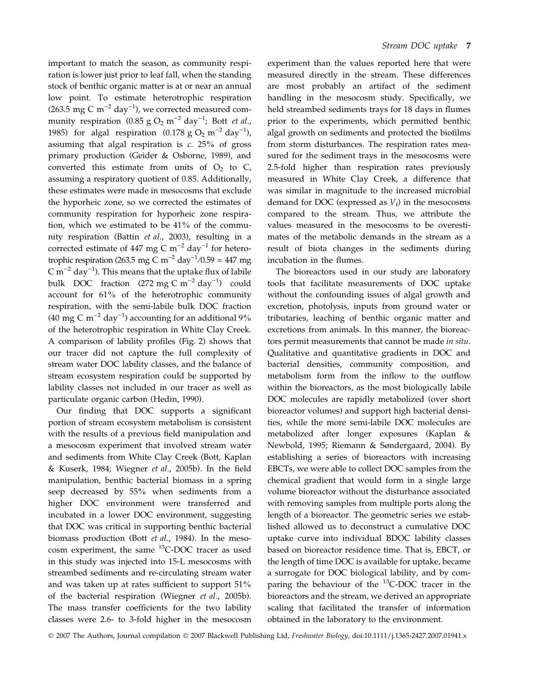important to match the season, as community respiration is lower just prior to leaf fall, when the standing stock of benthic organic matter is at or near an annual low point. To estimate heterotrophic respiration (263.5 mg C  $m^{-2}$  day<sup>-1</sup>), we corrected measured community respiration  $(0.85 \text{ g O}_2 \text{ m}^{-2} \text{ day}^{-1})$ ; Bott *et al.*, 1985) for algal respiration (0.178 g  $O_2$  m<sup>-2</sup> day<sup>-1</sup>), assuming that algal respiration is  $c$ . 25% of gross primary production (Geider & Osborne, 1989), and converted this estimate from units of  $O_2$  to C, assuming a respiratory quotient of 0.85. Additionally, these estimates were made in mesocosms that exclude the hyporheic zone, so we corrected the estimates of community respiration for hyporheic zone respiration, which we estimated to be 41% of the community respiration (Battin et al., 2003), resulting in a corrected estimate of 447 mg C  $m^{-2}$  day<sup>-1</sup> for heterotrophic respiration (263.5 mg C m<sup>-2</sup> day<sup>-1</sup>/0.59 = 447 mg C m $^{-2}$  day $^{-1}$ ). This means that the uptake flux of labile bulk DOC fraction  $(272 \text{ mg C m}^{-2} \text{ day}^{-1})$  could account for 61% of the heterotrophic community respiration, with the semi-labile bulk DOC fraction (40 mg C m<sup>-2</sup> day<sup>-1</sup>) accounting for an additional 9% of the heterotrophic respiration in White Clay Creek. A comparison of lability profiles (Fig. 2) shows that our tracer did not capture the full complexity of stream water DOC lability classes, and the balance of stream ecosystem respiration could be supported by lability classes not included in our tracer as well as particulate organic carbon (Hedin, 1990).

Our finding that DOC supports a significant portion of stream ecosystem metabolism is consistent with the results of a previous field manipulation and a mesocosm experiment that involved stream water and sediments from White Clay Creek (Bott, Kaplan & Kuserk, 1984; Wiegner et al., 2005b). In the field manipulation, benthic bacterial biomass in a spring seep decreased by 55% when sediments from a higher DOC environment were transferred and incubated in a lower DOC environment, suggesting that DOC was critical in supporting benthic bacterial biomass production (Bott et al., 1984). In the mesocosm experiment, the same  $^{13}$ C-DOC tracer as used in this study was injected into 15-L mesocosms with streambed sediments and re-circulating stream water and was taken up at rates sufficient to support 51% of the bacterial respiration (Wiegner et al., 2005b). The mass transfer coefficients for the two lability classes were 2.6- to 3-fold higher in the mesocosm experiment than the values reported here that were measured directly in the stream. These differences are most probably an artifact of the sediment handling in the mesocosm study. Specifically, we held streambed sediments trays for 18 days in flumes prior to the experiments, which permitted benthic algal growth on sediments and protected the biofilms from storm disturbances. The respiration rates measured for the sediment trays in the mesocosms were 2.5-fold higher than respiration rates previously measured in White Clay Creek, a difference that was similar in magnitude to the increased microbial demand for DOC (expressed as  $V_f$ ) in the mesocosms compared to the stream. Thus, we attribute the values measured in the mesocosms to be overestimates of the metabolic demands in the stream as a result of biota changes in the sediments during incubation in the flumes.

The bioreactors used in our study are laboratory tools that facilitate measurements of DOC uptake without the confounding issues of algal growth and excretion, photolysis, inputs from ground water or tributaries, leaching of benthic organic matter and excretions from animals. In this manner, the bioreactors permit measurements that cannot be made in situ. Qualitative and quantitative gradients in DOC and bacterial densities, community composition, and metabolism form from the inflow to the outflow within the bioreactors, as the most biologically labile DOC molecules are rapidly metabolized (over short bioreactor volumes) and support high bacterial densities, while the more semi-labile DOC molecules are metabolized after longer exposures (Kaplan & Newbold, 1995; Riemann & Søndergaard, 2004). By establishing a series of bioreactors with increasing EBCTs, we were able to collect DOC samples from the chemical gradient that would form in a single large volume bioreactor without the disturbance associated with removing samples from multiple ports along the length of a bioreactor. The geometric series we established allowed us to deconstruct a cumulative DOC uptake curve into individual BDOC lability classes based on bioreactor residence time. That is, EBCT, or the length of time DOC is available for uptake, became a surrogate for DOC biological lability, and by comparing the behaviour of the <sup>13</sup>C-DOC tracer in the bioreactors and the stream, we derived an appropriate scaling that facilitated the transfer of information obtained in the laboratory to the environment.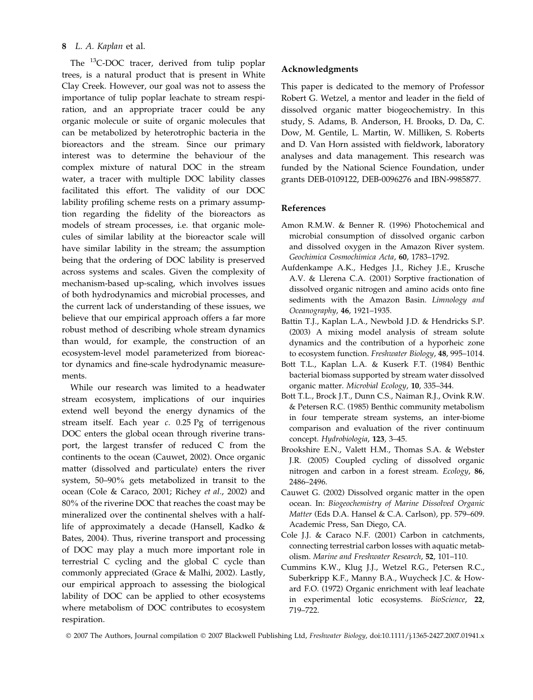The <sup>13</sup>C-DOC tracer, derived from tulip poplar trees, is a natural product that is present in White Clay Creek. However, our goal was not to assess the importance of tulip poplar leachate to stream respiration, and an appropriate tracer could be any organic molecule or suite of organic molecules that can be metabolized by heterotrophic bacteria in the bioreactors and the stream. Since our primary interest was to determine the behaviour of the complex mixture of natural DOC in the stream water, a tracer with multiple DOC lability classes facilitated this effort. The validity of our DOC lability profiling scheme rests on a primary assumption regarding the fidelity of the bioreactors as models of stream processes, i.e. that organic molecules of similar lability at the bioreactor scale will have similar lability in the stream; the assumption being that the ordering of DOC lability is preserved across systems and scales. Given the complexity of mechanism-based up-scaling, which involves issues of both hydrodynamics and microbial processes, and the current lack of understanding of these issues, we believe that our empirical approach offers a far more robust method of describing whole stream dynamics than would, for example, the construction of an ecosystem-level model parameterized from bioreactor dynamics and fine-scale hydrodynamic measurements.

While our research was limited to a headwater stream ecosystem, implications of our inquiries extend well beyond the energy dynamics of the stream itself. Each year c. 0.25 Pg of terrigenous DOC enters the global ocean through riverine transport, the largest transfer of reduced C from the continents to the ocean (Cauwet, 2002). Once organic matter (dissolved and particulate) enters the river system, 50–90% gets metabolized in transit to the ocean (Cole & Caraco, 2001; Richey et al., 2002) and 80% of the riverine DOC that reaches the coast may be mineralized over the continental shelves with a halflife of approximately a decade (Hansell, Kadko & Bates, 2004). Thus, riverine transport and processing of DOC may play a much more important role in terrestrial C cycling and the global C cycle than commonly appreciated (Grace & Malhi, 2002). Lastly, our empirical approach to assessing the biological lability of DOC can be applied to other ecosystems where metabolism of DOC contributes to ecosystem respiration.

#### Acknowledgments

This paper is dedicated to the memory of Professor Robert G. Wetzel, a mentor and leader in the field of dissolved organic matter biogeochemistry. In this study, S. Adams, B. Anderson, H. Brooks, D. Da, C. Dow, M. Gentile, L. Martin, W. Milliken, S. Roberts and D. Van Horn assisted with fieldwork, laboratory analyses and data management. This research was funded by the National Science Foundation, under grants DEB-0109122, DEB-0096276 and IBN-9985877.

## References

- Amon R.M.W. & Benner R. (1996) Photochemical and microbial consumption of dissolved organic carbon and dissolved oxygen in the Amazon River system. Geochimica Cosmochimica Acta, 60, 1783–1792.
- Aufdenkampe A.K., Hedges J.I., Richey J.E., Krusche A.V. & Llerena C.A. (2001) Sorptive fractionation of dissolved organic nitrogen and amino acids onto fine sediments with the Amazon Basin. Limnology and Oceanography, 46, 1921–1935.
- Battin T.J., Kaplan L.A., Newbold J.D. & Hendricks S.P. (2003) A mixing model analysis of stream solute dynamics and the contribution of a hyporheic zone to ecosystem function. Freshwater Biology, 48, 995–1014.
- Bott T.L., Kaplan L.A. & Kuserk F.T. (1984) Benthic bacterial biomass supported by stream water dissolved organic matter. Microbial Ecology, 10, 335–344.
- Bott T.L., Brock J.T., Dunn C.S., Naiman R.J., Ovink R.W. & Petersen R.C. (1985) Benthic community metabolism in four temperate stream systems, an inter-biome comparison and evaluation of the river continuum concept. Hydrobiologia, 123, 3–45.
- Brookshire E.N., Valett H.M., Thomas S.A. & Webster J.R. (2005) Coupled cycling of dissolved organic nitrogen and carbon in a forest stream. Ecology, 86, 2486–2496.
- Cauwet G. (2002) Dissolved organic matter in the open ocean. In: Biogeochemistry of Marine Dissolved Organic Matter (Eds D.A. Hansel & C.A. Carlson), pp. 579–609. Academic Press, San Diego, CA.
- Cole J.J. & Caraco N.F. (2001) Carbon in catchments, connecting terrestrial carbon losses with aquatic metabolism. Marine and Freshwater Research, 52, 101–110.
- Cummins K.W., Klug J.J., Wetzel R.G., Petersen R.C., Suberkripp K.F., Manny B.A., Wuycheck J.C. & Howard F.O. (1972) Organic enrichment with leaf leachate in experimental lotic ecosystems. BioScience, 22, 719–722.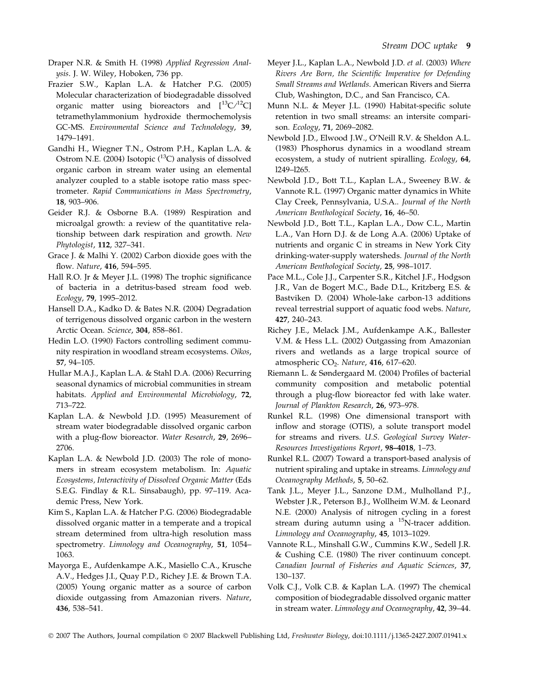- Draper N.R. & Smith H. (1998) Applied Regression Analysis. J. W. Wiley, Hoboken, 736 pp.
- Frazier S.W., Kaplan L.A. & Hatcher P.G. (2005) Molecular characterization of biodegradable dissolved organic matter using bioreactors and  $[^{13}C/^{12}C]$ tetramethylammonium hydroxide thermochemolysis GC-MS. Environmental Science and Technolology, 39, 1479–1491.
- Gandhi H., Wiegner T.N., Ostrom P.H., Kaplan L.A. & Ostrom N.E. (2004) Isotopic  $(^{13}C)$  analysis of dissolved organic carbon in stream water using an elemental analyzer coupled to a stable isotope ratio mass spectrometer. Rapid Communications in Mass Spectrometry, 18, 903–906.
- Geider R.J. & Osborne B.A. (1989) Respiration and microalgal growth: a review of the quantitative relationship between dark respiration and growth. New Phytologist, 112, 327–341.
- Grace J. & Malhi Y. (2002) Carbon dioxide goes with the flow. Nature, 416, 594–595.
- Hall R.O. Jr & Meyer J.L. (1998) The trophic significance of bacteria in a detritus-based stream food web. Ecology, 79, 1995–2012.
- Hansell D.A., Kadko D. & Bates N.R. (2004) Degradation of terrigenous dissolved organic carbon in the western Arctic Ocean. Science, 304, 858–861.
- Hedin L.O. (1990) Factors controlling sediment community respiration in woodland stream ecosystems. Oikos, 57, 94–105.
- Hullar M.A.J., Kaplan L.A. & Stahl D.A. (2006) Recurring seasonal dynamics of microbial communities in stream habitats. Applied and Environmental Microbiology, 72, 713–722.
- Kaplan L.A. & Newbold J.D. (1995) Measurement of stream water biodegradable dissolved organic carbon with a plug-flow bioreactor. Water Research, 29, 2696– 2706.
- Kaplan L.A. & Newbold J.D. (2003) The role of monomers in stream ecosystem metabolism. In: Aquatic Ecosystems, Interactivity of Dissolved Organic Matter (Eds S.E.G. Findlay & R.L. Sinsabaugh), pp. 97–119. Academic Press, New York.
- Kim S., Kaplan L.A. & Hatcher P.G. (2006) Biodegradable dissolved organic matter in a temperate and a tropical stream determined from ultra-high resolution mass spectrometry. Limnology and Oceanography, 51, 1054-1063.
- Mayorga E., Aufdenkampe A.K., Masiello C.A., Krusche A.V., Hedges J.I., Quay P.D., Richey J.E. & Brown T.A. (2005) Young organic matter as a source of carbon dioxide outgassing from Amazonian rivers. Nature, 436, 538–541.
- Meyer J.L., Kaplan L.A., Newbold J.D. et al. (2003) Where Rivers Are Born, the Scientific Imperative for Defending Small Streams and Wetlands. American Rivers and Sierra Club, Washington, D.C., and San Francisco, CA.
- Munn N.L. & Meyer J.L. (1990) Habitat-specific solute retention in two small streams: an intersite comparison. Ecology, 71, 2069–2082.
- Newbold J.D., Elwood J.W., O'Neill R.V. & Sheldon A.L. (1983) Phosphorus dynamics in a woodland stream ecosystem, a study of nutrient spiralling. Ecology, 64, l249–l265.
- Newbold J.D., Bott T.L., Kaplan L.A., Sweeney B.W. & Vannote R.L. (1997) Organic matter dynamics in White Clay Creek, Pennsylvania, U.S.A.. Journal of the North American Benthological Society, 16, 46–50.
- Newbold J.D., Bott T.L., Kaplan L.A., Dow C.L., Martin L.A., Van Horn D.J. & de Long A.A. (2006) Uptake of nutrients and organic C in streams in New York City drinking-water-supply watersheds. Journal of the North American Benthological Society, 25, 998–1017.
- Pace M.L., Cole J.J., Carpenter S.R., Kitchel J.F., Hodgson J.R., Van de Bogert M.C., Bade D.L., Kritzberg E.S. & Bastviken D. (2004) Whole-lake carbon-13 additions reveal terrestrial support of aquatic food webs. Nature, 427, 240–243.
- Richey J.E., Melack J.M., Aufdenkampe A.K., Ballester V.M. & Hess L.L. (2002) Outgassing from Amazonian rivers and wetlands as a large tropical source of atmospheric CO<sub>2</sub>. Nature,  $416$ , 617-620.
- Riemann L. & Søndergaard M. (2004) Profiles of bacterial community composition and metabolic potential through a plug-flow bioreactor fed with lake water. Journal of Plankton Research, 26, 973–978.
- Runkel R.L. (1998) One dimensional transport with inflow and storage (OTIS), a solute transport model for streams and rivers. U.S. Geological Survey Water-Resources Investigations Report, 98–4018, 1–73.
- Runkel R.L. (2007) Toward a transport-based analysis of nutrient spiraling and uptake in streams. Limnology and Oceanography Methods, 5, 50–62.
- Tank J.L., Meyer J.L., Sanzone D.M., Mulholland P.J., Webster J.R., Peterson B.J., Wollheim W.M. & Leonard N.E. (2000) Analysis of nitrogen cycling in a forest stream during autumn using a  ${}^{15}N$ -tracer addition. Limnology and Oceanography, 45, 1013–1029.
- Vannote R.L., Minshall G.W., Cummins K.W., Sedell J.R. & Cushing C.E. (1980) The river continuum concept. Canadian Journal of Fisheries and Aquatic Sciences, 37, 130–137.
- Volk C.J., Volk C.B. & Kaplan L.A. (1997) The chemical composition of biodegradable dissolved organic matter in stream water. Limnology and Oceanography, 42, 39–44.